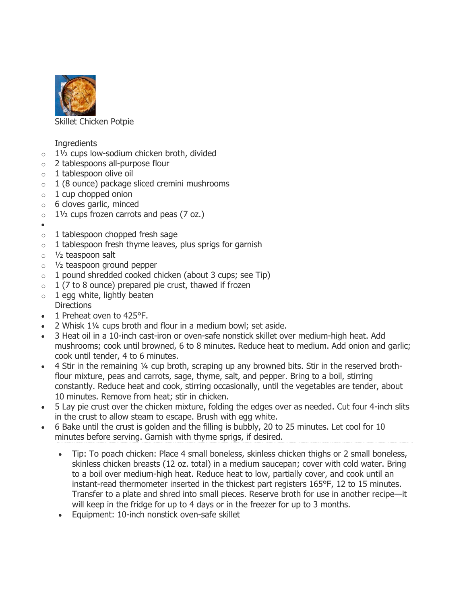

Skillet Chicken Potpie

**Ingredients** 

- $\circ$  1½ cups low-sodium chicken broth, divided
- o 2 tablespoons all-purpose flour
- $\circ$  1 tablespoon olive oil
- $\circ$  1 (8 ounce) package sliced cremini mushrooms
- $\circ$  1 cup chopped onion
- $\circ$  6 cloves garlic, minced
- $\circ$  1½ cups frozen carrots and peas (7 oz.)
- •
- $\circ$  1 tablespoon chopped fresh sage
- $\circ$  1 tablespoon fresh thyme leaves, plus sprigs for garnish
- $\circ$  1/<sub>2</sub> teaspoon salt
- o ½ teaspoon ground pepper
- $\circ$  1 pound shredded cooked chicken (about 3 cups; see Tip)
- $\circ$  1 (7 to 8 ounce) prepared pie crust, thawed if frozen
- $\circ$  1 egg white, lightly beaten **Directions**
- 1 Preheat oven to 425°F.
- 2 Whisk 1¼ cups broth and flour in a medium bowl; set aside.
- 3 Heat oil in a 10-inch cast-iron or oven-safe nonstick skillet over medium-high heat. Add mushrooms; cook until browned, 6 to 8 minutes. Reduce heat to medium. Add onion and garlic; cook until tender, 4 to 6 minutes.
- 4 Stir in the remaining 1/4 cup broth, scraping up any browned bits. Stir in the reserved brothflour mixture, peas and carrots, sage, thyme, salt, and pepper. Bring to a boil, stirring constantly. Reduce heat and cook, stirring occasionally, until the vegetables are tender, about 10 minutes. Remove from heat; stir in chicken.
- 5 Lay pie crust over the chicken mixture, folding the edges over as needed. Cut four 4-inch slits in the crust to allow steam to escape. Brush with egg white.
- 6 Bake until the crust is golden and the filling is bubbly, 20 to 25 minutes. Let cool for 10 minutes before serving. Garnish with thyme sprigs, if desired.
	- Tip: To poach chicken: Place 4 small boneless, skinless chicken thighs or 2 small boneless, skinless chicken breasts (12 oz. total) in a medium saucepan; cover with cold water. Bring to a boil over medium-high heat. Reduce heat to low, partially cover, and cook until an instant-read thermometer inserted in the thickest part registers 165°F, 12 to 15 minutes. Transfer to a plate and shred into small pieces. Reserve broth for use in another recipe—it will keep in the fridge for up to 4 days or in the freezer for up to 3 months.
	- Equipment: 10-inch nonstick oven-safe skillet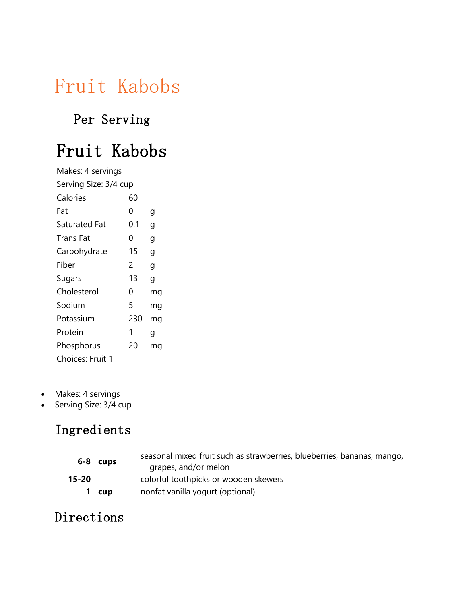# Fruit Kabobs

### Per Serving

## Fruit Kabobs

| Makes: 4 servings     |     |    |
|-----------------------|-----|----|
| Serving Size: 3/4 cup |     |    |
| Calories              | 60  |    |
| Fat                   | 0   | g  |
| Saturated Fat         | 0.1 | g  |
| Trans Fat             | 0   | g  |
| Carbohydrate          | 15  | g  |
| Fiber                 | 2   | g  |
| Sugars                | 13  | g  |
| Cholesterol           | 0   | mg |
| Sodium                | 5   | mg |
| Potassium             | 230 | mg |
| Protein               | 1   | g  |
| Phosphorus            | 20  | mg |
| Choices: Fruit 1      |     |    |

- Makes: 4 servings
- Serving Size: 3/4 cup

### Ingredients

| 6-8       | cups  | seasonal mixed fruit such as strawberries, blueberries, bananas, mango,<br>grapes, and/or melon |
|-----------|-------|-------------------------------------------------------------------------------------------------|
| $15 - 20$ |       | colorful toothpicks or wooden skewers                                                           |
|           | 1 cup | nonfat vanilla yogurt (optional)                                                                |

#### Directions